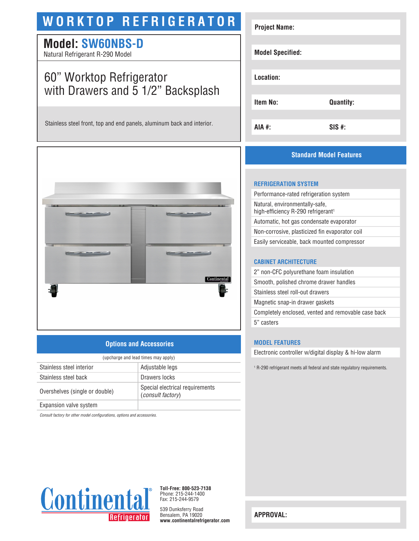# **WORKTOP REFRIGERATOR**

## **Model: SW60NBS-D**

Natural Refrigerant R-290 Model

## 60" Worktop Refrigerator with Drawers and 5 1/2" Backsplash

Stainless steel front, top and end panels, aluminum back and interior.



## **Options and Accessories**

| (upcharge and lead times may apply) |                                                             |
|-------------------------------------|-------------------------------------------------------------|
| Stainless steel interior            | Adjustable legs                                             |
| Stainless steel back                | Drawers locks                                               |
| Overshelves (single or double)      | Special electrical requirements<br><i>(consult factory)</i> |
| Expansion valve system              |                                                             |

*Consult factory for other model configurations, options and accessories.*





**Toll-Free: 800-523-7138** Phone: 215-244-1400 Fax: 215-244-9579

539 Dunksferry Road Bensalem, PA 19020 **www.continentalrefrigerator.com** 

| <b>Project Name:</b>    |                  |
|-------------------------|------------------|
| <b>Model Specified:</b> |                  |
| Location:               |                  |
| <b>Item No:</b>         | <b>Quantity:</b> |
| AIA #:                  | $SIS$ #:         |

## **Standard Model Features**

### **REFRIGERATION SYSTEM**

| Performance-rated refrigeration system                                           |  |
|----------------------------------------------------------------------------------|--|
| Natural, environmentally-safe,<br>high-efficiency R-290 refrigerant <sup>1</sup> |  |
| Automatic, hot gas condensate evaporator                                         |  |
| Non-corrosive, plasticized fin evaporator coil                                   |  |
| Easily serviceable, back mounted compressor                                      |  |
|                                                                                  |  |

### **CABINET ARCHITECTURE**

| 2" non-CFC polyurethane foam insulation             |  |
|-----------------------------------------------------|--|
| Smooth, polished chrome drawer handles              |  |
| Stainless steel roll-out drawers                    |  |
| Magnetic snap-in drawer gaskets                     |  |
| Completely enclosed, vented and removable case back |  |
| 5" casters                                          |  |
|                                                     |  |

### **MODEL FEATURES**

Electronic controller w/digital display & hi-low alarm

1 R-290 refrigerant meets all federal and state regulatory requirements.

**APPROVAL:**